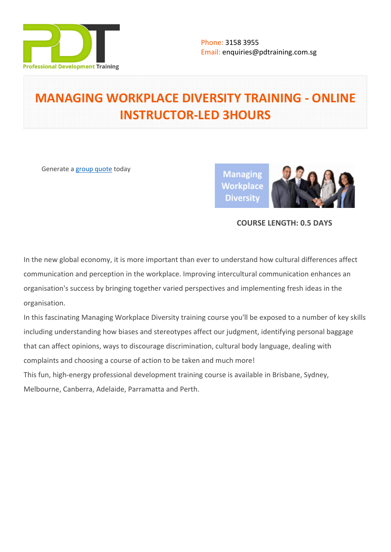

# **MANAGING WORKPLACE DIVERSITY TRAINING - ONLINE INSTRUCTOR-LED 3HOURS**

Generate a [group quote](https://pdtraining.com.sg/inhouse-training-quote?cse=PDTW259_C) today

**Managing Workplace Diversity** 



# **COURSE LENGTH: 0.5 DAYS**

In the new global economy, it is more important than ever to understand how cultural differences affect communication and perception in the workplace. Improving intercultural communication enhances an organisation's success by bringing together varied perspectives and implementing fresh ideas in the organisation.

In this fascinating Managing Workplace Diversity training course you'll be exposed to a number of key skills including understanding how biases and stereotypes affect our judgment, identifying personal baggage that can affect opinions, ways to discourage discrimination, cultural body language, dealing with complaints and choosing a course of action to be taken and much more! This fun, high-energy professional development training course is available in Brisbane, Sydney, Melbourne, Canberra, Adelaide, Parramatta and Perth.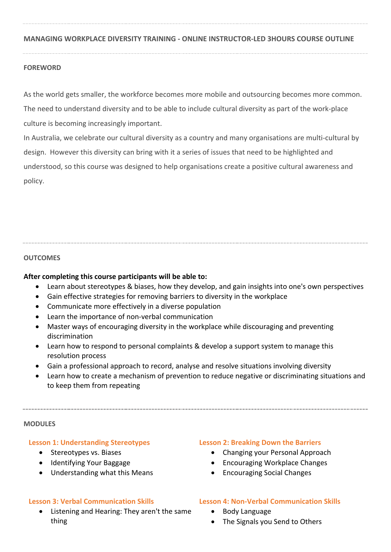# **MANAGING WORKPLACE DIVERSITY TRAINING - ONLINE INSTRUCTOR-LED 3HOURS COURSE OUTLINE**

# **FOREWORD**

As the world gets smaller, the workforce becomes more mobile and outsourcing becomes more common. The need to understand diversity and to be able to include cultural diversity as part of the work-place culture is becoming increasingly important.

In Australia, we celebrate our cultural diversity as a country and many organisations are multi-cultural by design. However this diversity can bring with it a series of issues that need to be highlighted and understood, so this course was designed to help organisations create a positive cultural awareness and policy.

## **OUTCOMES**

#### **After completing this course participants will be able to:**

- Learn about stereotypes & biases, how they develop, and gain insights into one's own perspectives
- Gain effective strategies for removing barriers to diversity in the workplace
- Communicate more effectively in a diverse population
- Learn the importance of non-verbal communication
- Master ways of encouraging diversity in the workplace while discouraging and preventing discrimination
- Learn how to respond to personal complaints & develop a support system to manage this resolution process
- Gain a professional approach to record, analyse and resolve situations involving diversity
- Learn how to create a mechanism of prevention to reduce negative or discriminating situations and to keep them from repeating

#### **MODULES**

#### **Lesson 1: Understanding Stereotypes**

- Stereotypes vs. Biases
- Identifying Your Baggage
- Understanding what this Means

# **Lesson 3: Verbal Communication Skills**

 Listening and Hearing: They aren't the same thing

#### **Lesson 2: Breaking Down the Barriers**

- Changing your Personal Approach
- Encouraging Workplace Changes
- Encouraging Social Changes

#### **Lesson 4: Non-Verbal Communication Skills**

- Body Language
- The Signals you Send to Others